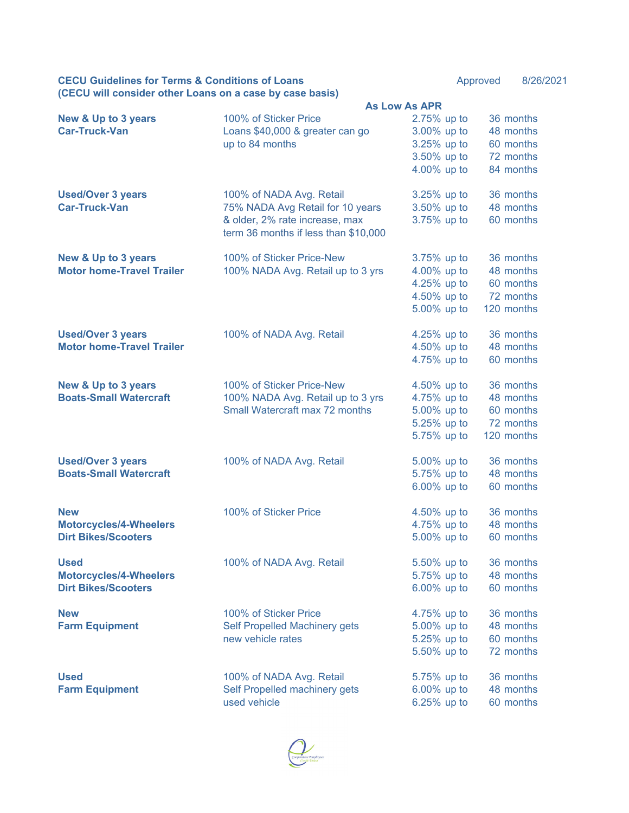| <b>CECU Guidelines for Terms &amp; Conditions of Loans</b> |  | Approved | 8/26/2021 |
|------------------------------------------------------------|--|----------|-----------|
| (CECU will consider other Loans on a case by case basis)   |  |          |           |

|                                                              | <b>As Low As APR</b>                 |             |            |  |  |
|--------------------------------------------------------------|--------------------------------------|-------------|------------|--|--|
| <b>New &amp; Up to 3 years</b>                               | 100% of Sticker Price                | 2.75% up to | 36 months  |  |  |
| <b>Car-Truck-Van</b>                                         | Loans \$40,000 & greater can go      | 3.00% up to | 48 months  |  |  |
|                                                              | up to 84 months                      | 3.25% up to | 60 months  |  |  |
|                                                              |                                      | 3.50% up to | 72 months  |  |  |
|                                                              |                                      | 4.00% up to | 84 months  |  |  |
|                                                              |                                      |             |            |  |  |
| <b>Used/Over 3 years</b>                                     | 100% of NADA Avg. Retail             | 3.25% up to | 36 months  |  |  |
| <b>Car-Truck-Van</b>                                         | 75% NADA Avg Retail for 10 years     | 3.50% up to | 48 months  |  |  |
|                                                              | & older, 2% rate increase, max       | 3.75% up to | 60 months  |  |  |
|                                                              | term 36 months if less than \$10,000 |             |            |  |  |
|                                                              |                                      |             |            |  |  |
| <b>New &amp; Up to 3 years</b>                               | 100% of Sticker Price-New            | 3.75% up to | 36 months  |  |  |
| <b>Motor home-Travel Trailer</b>                             | 100% NADA Avg. Retail up to 3 yrs    | 4.00% up to | 48 months  |  |  |
|                                                              |                                      | 4.25% up to | 60 months  |  |  |
|                                                              |                                      | 4.50% up to | 72 months  |  |  |
|                                                              |                                      |             |            |  |  |
|                                                              |                                      | 5.00% up to | 120 months |  |  |
|                                                              |                                      |             |            |  |  |
| <b>Used/Over 3 years</b><br><b>Motor home-Travel Trailer</b> | 100% of NADA Avg. Retail             | 4.25% up to | 36 months  |  |  |
|                                                              |                                      | 4.50% up to | 48 months  |  |  |
|                                                              |                                      | 4.75% up to | 60 months  |  |  |
| <b>New &amp; Up to 3 years</b>                               | 100% of Sticker Price-New            | 4.50% up to | 36 months  |  |  |
| <b>Boats-Small Watercraft</b>                                | 100% NADA Avg. Retail up to 3 yrs    | 4.75% up to | 48 months  |  |  |
|                                                              | Small Watercraft max 72 months       |             | 60 months  |  |  |
|                                                              |                                      | 5.00% up to | 72 months  |  |  |
|                                                              |                                      | 5.25% up to |            |  |  |
|                                                              |                                      | 5.75% up to | 120 months |  |  |
| <b>Used/Over 3 years</b>                                     | 100% of NADA Avg. Retail             | 5.00% up to | 36 months  |  |  |
| <b>Boats-Small Watercraft</b>                                |                                      | 5.75% up to | 48 months  |  |  |
|                                                              |                                      | 6.00% up to | 60 months  |  |  |
|                                                              |                                      |             |            |  |  |
| <b>New</b>                                                   | 100% of Sticker Price                | 4.50% up to | 36 months  |  |  |
| <b>Motorcycles/4-Wheelers</b>                                |                                      | 4.75% up to | 48 months  |  |  |
| <b>Dirt Bikes/Scooters</b>                                   |                                      | 5.00% up to | 60 months  |  |  |
|                                                              |                                      |             |            |  |  |
| <b>Used</b>                                                  | 100% of NADA Avg. Retail             | 5.50% up to | 36 months  |  |  |
| <b>Motorcycles/4-Wheelers</b>                                |                                      | 5.75% up to | 48 months  |  |  |
| <b>Dirt Bikes/Scooters</b>                                   |                                      | 6.00% up to | 60 months  |  |  |
|                                                              |                                      |             |            |  |  |
| <b>New</b>                                                   | 100% of Sticker Price                | 4.75% up to | 36 months  |  |  |
| <b>Farm Equipment</b>                                        | Self Propelled Machinery gets        | 5.00% up to | 48 months  |  |  |
|                                                              | new vehicle rates                    | 5.25% up to | 60 months  |  |  |
|                                                              |                                      | 5.50% up to | 72 months  |  |  |
|                                                              |                                      |             |            |  |  |
| <b>Used</b>                                                  | 100% of NADA Avg. Retail             | 5.75% up to | 36 months  |  |  |
| <b>Farm Equipment</b>                                        | Self Propelled machinery gets        | 6.00% up to | 48 months  |  |  |
|                                                              | used vehicle                         | 6.25% up to | 60 months  |  |  |
|                                                              |                                      |             |            |  |  |